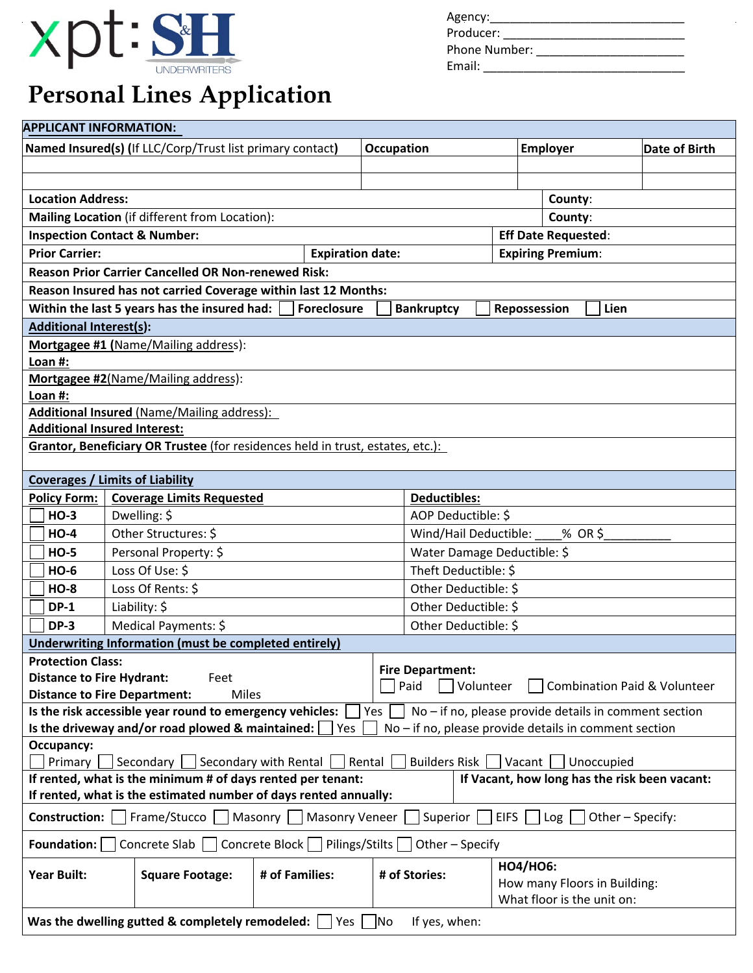

# **Personal Lines Application**

| Agency:       |  |  |
|---------------|--|--|
| Producer:     |  |  |
| Phone Number: |  |  |
| Email:        |  |  |

| <b>APPLICANT INFORMATION:</b>                                                                                                     |                                                                                |                                    |                      |                     |                      |                              |               |  |
|-----------------------------------------------------------------------------------------------------------------------------------|--------------------------------------------------------------------------------|------------------------------------|----------------------|---------------------|----------------------|------------------------------|---------------|--|
| Named Insured(s) (If LLC/Corp/Trust list primary contact)                                                                         |                                                                                |                                    |                      | <b>Occupation</b>   |                      | <b>Employer</b>              | Date of Birth |  |
|                                                                                                                                   |                                                                                |                                    |                      |                     |                      |                              |               |  |
|                                                                                                                                   |                                                                                |                                    |                      |                     |                      |                              |               |  |
| <b>Location Address:</b>                                                                                                          |                                                                                |                                    |                      |                     |                      | County:                      |               |  |
|                                                                                                                                   | Mailing Location (if different from Location):                                 |                                    |                      |                     |                      | County:                      |               |  |
|                                                                                                                                   | <b>Inspection Contact &amp; Number:</b>                                        |                                    |                      |                     |                      | <b>Eff Date Requested:</b>   |               |  |
| <b>Prior Carrier:</b>                                                                                                             |                                                                                | <b>Expiration date:</b>            |                      |                     |                      | <b>Expiring Premium:</b>     |               |  |
|                                                                                                                                   | <b>Reason Prior Carrier Cancelled OR Non-renewed Risk:</b>                     |                                    |                      |                     |                      |                              |               |  |
|                                                                                                                                   | Reason Insured has not carried Coverage within last 12 Months:                 |                                    |                      |                     |                      |                              |               |  |
| Within the last 5 years has the insured had:<br><b>Foreclosure</b><br>Lien<br><b>Bankruptcy</b><br>Repossession                   |                                                                                |                                    |                      |                     |                      |                              |               |  |
| <b>Additional Interest(s):</b>                                                                                                    |                                                                                |                                    |                      |                     |                      |                              |               |  |
|                                                                                                                                   | Mortgagee #1 (Name/Mailing address):                                           |                                    |                      |                     |                      |                              |               |  |
| Loan #:                                                                                                                           |                                                                                |                                    |                      |                     |                      |                              |               |  |
|                                                                                                                                   | Mortgagee #2(Name/Mailing address):                                            |                                    |                      |                     |                      |                              |               |  |
| Loan #:                                                                                                                           |                                                                                |                                    |                      |                     |                      |                              |               |  |
|                                                                                                                                   | <b>Additional Insured (Name/Mailing address):</b>                              |                                    |                      |                     |                      |                              |               |  |
|                                                                                                                                   | <b>Additional Insured Interest:</b>                                            |                                    |                      |                     |                      |                              |               |  |
|                                                                                                                                   | Grantor, Beneficiary OR Trustee (for residences held in trust, estates, etc.): |                                    |                      |                     |                      |                              |               |  |
|                                                                                                                                   |                                                                                |                                    |                      |                     |                      |                              |               |  |
|                                                                                                                                   | <b>Coverages / Limits of Liability</b>                                         |                                    |                      |                     |                      |                              |               |  |
| <b>Policy Form:</b>                                                                                                               | <b>Coverage Limits Requested</b>                                               |                                    |                      | <b>Deductibles:</b> |                      |                              |               |  |
| <b>HO-3</b>                                                                                                                       | Dwelling: \$                                                                   |                                    |                      | AOP Deductible: \$  |                      |                              |               |  |
| $HO-4$                                                                                                                            | Other Structures: \$                                                           | Wind/Hail Deductible:<br>$%$ OR \$ |                      |                     |                      |                              |               |  |
| <b>HO-5</b>                                                                                                                       | Personal Property: \$                                                          | Water Damage Deductible: \$        |                      |                     |                      |                              |               |  |
| <b>HO-6</b>                                                                                                                       | Loss Of Use: \$                                                                |                                    | Theft Deductible: \$ |                     |                      |                              |               |  |
| <b>HO-8</b>                                                                                                                       | Loss Of Rents: \$                                                              |                                    | Other Deductible: \$ |                     |                      |                              |               |  |
| $DP-1$                                                                                                                            | Liability: \$                                                                  |                                    |                      |                     | Other Deductible: \$ |                              |               |  |
| <b>DP-3</b>                                                                                                                       | Medical Payments: \$<br>Other Deductible: \$                                   |                                    |                      |                     |                      |                              |               |  |
| <b>Underwriting Information (must be completed entirely)</b>                                                                      |                                                                                |                                    |                      |                     |                      |                              |               |  |
| <b>Protection Class:</b><br><b>Fire Department:</b>                                                                               |                                                                                |                                    |                      |                     |                      |                              |               |  |
| <b>Distance to Fire Hydrant:</b><br>Feet<br>Paid<br>Combination Paid & Volunteer<br>Volunteer                                     |                                                                                |                                    |                      |                     |                      |                              |               |  |
| <b>Distance to Fire Department:</b><br>Miles                                                                                      |                                                                                |                                    |                      |                     |                      |                              |               |  |
| $No$ – if no, please provide details in comment section<br>Is the risk accessible year round to emergency vehicles:<br>Yes<br>Yes |                                                                                |                                    |                      |                     |                      |                              |               |  |
| Is the driveway and/or road plowed & maintained:<br>$No$ – if no, please provide details in comment section<br>Occupancy:         |                                                                                |                                    |                      |                     |                      |                              |               |  |
| Secondary with Rental<br>Rental<br><b>Builders Risk</b><br>Primary<br>Secondary<br>Vacant<br>Unoccupied                           |                                                                                |                                    |                      |                     |                      |                              |               |  |
| If rented, what is the minimum # of days rented per tenant:<br>If Vacant, how long has the risk been vacant:                      |                                                                                |                                    |                      |                     |                      |                              |               |  |
| If rented, what is the estimated number of days rented annually:                                                                  |                                                                                |                                    |                      |                     |                      |                              |               |  |
| Frame/Stucco<br>Masonry     Masonry Veneer<br>Superior<br><b>EIFS</b><br>Construction:  <br>Log<br>Other - Specify:               |                                                                                |                                    |                      |                     |                      |                              |               |  |
| Concrete Block     Pilings/Stilts  <br>Foundation:<br>Concrete Slab<br>Other - Specify                                            |                                                                                |                                    |                      |                     |                      |                              |               |  |
| <b>Year Built:</b>                                                                                                                | <b>Square Footage:</b>                                                         | # of Families:                     |                      | # of Stories:       | <b>HO4/HO6:</b>      | How many Floors in Building: |               |  |
|                                                                                                                                   |                                                                                |                                    |                      |                     |                      | What floor is the unit on:   |               |  |
| Was the dwelling gutted & completely remodeled: $\lfloor$<br> Yes    No<br>If yes, when:                                          |                                                                                |                                    |                      |                     |                      |                              |               |  |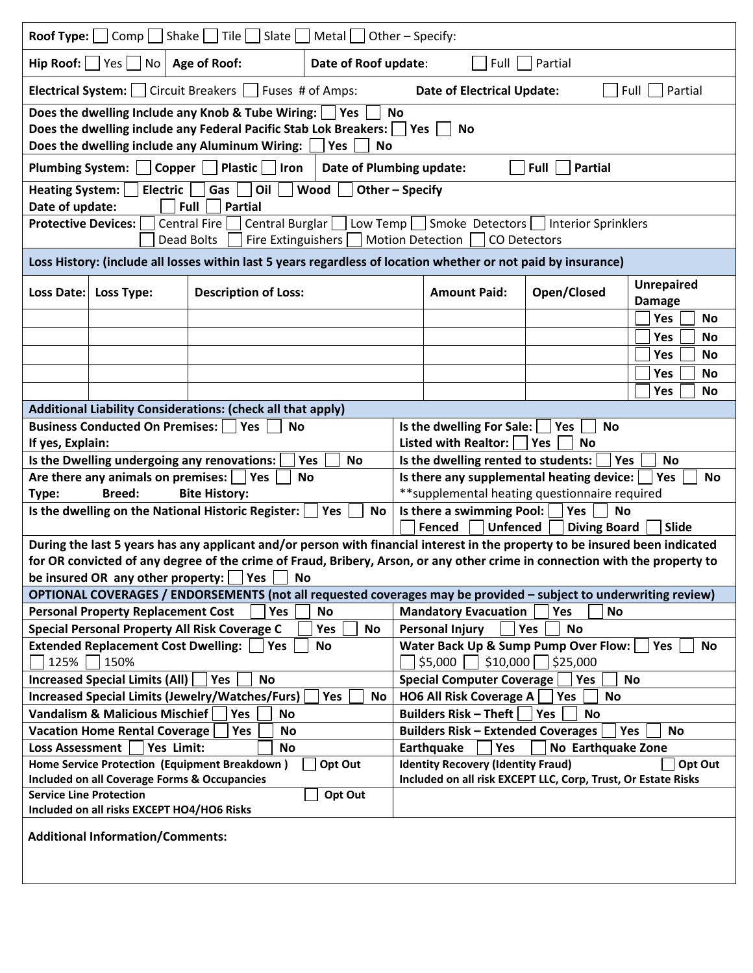| <b>Roof Type:</b> $\bigcap$ Comp $\bigcap$ Shake $\bigcap$ Tile $\bigcap$ Slate $\bigcap$ Metal $\bigcap$ Other – Specify:                                                                                                                     |                                              |                                                                                                                                                                                       |                                                                                                                       |                                                         |                                   |                                              |                  |  |
|------------------------------------------------------------------------------------------------------------------------------------------------------------------------------------------------------------------------------------------------|----------------------------------------------|---------------------------------------------------------------------------------------------------------------------------------------------------------------------------------------|-----------------------------------------------------------------------------------------------------------------------|---------------------------------------------------------|-----------------------------------|----------------------------------------------|------------------|--|
| Hip Roof: $ $ $ $ Yes $ $ No $ $ Age of Roof:<br>Date of Roof update:<br>Partial<br>Full                                                                                                                                                       |                                              |                                                                                                                                                                                       |                                                                                                                       |                                                         |                                   |                                              |                  |  |
|                                                                                                                                                                                                                                                | <b>Electrical System:</b>   Circuit Breakers |                                                                                                                                                                                       | Fuses # of Amps:                                                                                                      |                                                         | <b>Date of Electrical Update:</b> |                                              | Partial<br>Full  |  |
| Does the dwelling Include any Knob & Tube Wiring:<br><b>Yes</b><br><b>No</b><br>Does the dwelling include any Federal Pacific Stab Lok Breakers: $\Box$ Yes $\Box$<br>No<br>Does the dwelling include any Aluminum Wiring:<br>Yes<br><b>No</b> |                                              |                                                                                                                                                                                       |                                                                                                                       |                                                         |                                   |                                              |                  |  |
| Plumbing System:                                                                                                                                                                                                                               |                                              | Copper   Plastic<br>$\vert$ Iron                                                                                                                                                      | Date of Plumbing update:                                                                                              |                                                         |                                   | <b>Full</b><br>Partial                       |                  |  |
| <b>Heating System:</b><br>Date of update:                                                                                                                                                                                                      | <b>Electric</b>                              | Gas<br>Oil<br><b>Partial</b><br>Full                                                                                                                                                  | Wood<br>Other-Specify                                                                                                 |                                                         |                                   |                                              |                  |  |
| <b>Protective Devices:</b>                                                                                                                                                                                                                     | Dead Bolts                                   | Central Burglar<br>Central Fire                                                                                                                                                       | Fire Extinguishers $\lfloor \ \rfloor$ Motion Detection $\lfloor$                                                     |                                                         | CO Detectors                      | Low Temp Smoke Detectors Interior Sprinklers |                  |  |
|                                                                                                                                                                                                                                                |                                              | Loss History: (include all losses within last 5 years regardless of location whether or not paid by insurance)                                                                        |                                                                                                                       |                                                         |                                   |                                              |                  |  |
| <b>Description of Loss:</b><br>Loss Date:<br>Loss Type:                                                                                                                                                                                        |                                              |                                                                                                                                                                                       | <b>Amount Paid:</b>                                                                                                   |                                                         | Open/Closed                       | <b>Unrepaired</b><br><b>Damage</b>           |                  |  |
|                                                                                                                                                                                                                                                |                                              |                                                                                                                                                                                       |                                                                                                                       |                                                         |                                   |                                              | Yes<br>No        |  |
|                                                                                                                                                                                                                                                |                                              |                                                                                                                                                                                       |                                                                                                                       |                                                         |                                   |                                              | Yes<br>No        |  |
|                                                                                                                                                                                                                                                |                                              |                                                                                                                                                                                       |                                                                                                                       |                                                         |                                   |                                              | <b>No</b><br>Yes |  |
|                                                                                                                                                                                                                                                |                                              |                                                                                                                                                                                       |                                                                                                                       |                                                         |                                   |                                              | Yes<br>No        |  |
|                                                                                                                                                                                                                                                |                                              |                                                                                                                                                                                       |                                                                                                                       |                                                         |                                   |                                              | Yes<br><b>No</b> |  |
| Additional Liability Considerations: (check all that apply)                                                                                                                                                                                    |                                              |                                                                                                                                                                                       |                                                                                                                       |                                                         |                                   |                                              |                  |  |
| <b>Business Conducted On Premises:    </b><br>Yes<br><b>No</b><br>If yes, Explain:                                                                                                                                                             |                                              |                                                                                                                                                                                       | Is the dwelling For Sale:<br>Yes<br><b>No</b><br>Listed with Realtor: $\sqrt{\phantom{a}}$ Yes<br><b>No</b>           |                                                         |                                   |                                              |                  |  |
|                                                                                                                                                                                                                                                |                                              | Is the Dwelling undergoing any renovations:                                                                                                                                           | Yes<br><b>No</b>                                                                                                      | Is the dwelling rented to students:<br>Yes<br><b>No</b> |                                   |                                              |                  |  |
|                                                                                                                                                                                                                                                | Are there any animals on premises:           | Yes                                                                                                                                                                                   | No                                                                                                                    | Is there any supplemental heating device:<br>Yes<br>No  |                                   |                                              |                  |  |
| Type:                                                                                                                                                                                                                                          | <b>Breed:</b>                                | <b>Bite History:</b>                                                                                                                                                                  |                                                                                                                       | ** supplemental heating questionnaire required          |                                   |                                              |                  |  |
|                                                                                                                                                                                                                                                |                                              | Is the dwelling on the National Historic Register:                                                                                                                                    | <b>Yes</b><br>No                                                                                                      | Is there a swimming Pool:<br>Yes<br><b>No</b>           |                                   |                                              |                  |  |
|                                                                                                                                                                                                                                                |                                              |                                                                                                                                                                                       | Fenced<br><b>Unfenced</b><br><b>Diving Board</b><br>Slide                                                             |                                                         |                                   |                                              |                  |  |
|                                                                                                                                                                                                                                                |                                              | During the last 5 years has any applicant and/or person with financial interest in the property to be insured been indicated                                                          |                                                                                                                       |                                                         |                                   |                                              |                  |  |
|                                                                                                                                                                                                                                                |                                              | for OR convicted of any degree of the crime of Fraud, Bribery, Arson, or any other crime in connection with the property to<br>be insured OR any other property: $\Box$ Yes $\Box$ No |                                                                                                                       |                                                         |                                   |                                              |                  |  |
| OPTIONAL COVERAGES / ENDORSEMENTS (not all requested coverages may be provided - subject to underwriting review)                                                                                                                               |                                              |                                                                                                                                                                                       |                                                                                                                       |                                                         |                                   |                                              |                  |  |
| <b>Personal Property Replacement Cost</b><br><b>Mandatory Evacuation</b><br>Yes<br><b>No</b><br>Yes<br><b>No</b>                                                                                                                               |                                              |                                                                                                                                                                                       |                                                                                                                       |                                                         |                                   |                                              |                  |  |
| Special Personal Property All Risk Coverage C<br><b>Personal Injury</b><br>Yes<br><b>No</b><br>Yes<br><b>No</b>                                                                                                                                |                                              |                                                                                                                                                                                       |                                                                                                                       |                                                         |                                   |                                              |                  |  |
| <b>Extended Replacement Cost Dwelling:</b><br><b>Yes</b><br><b>No</b><br>125%<br>150%                                                                                                                                                          |                                              |                                                                                                                                                                                       | Water Back Up & Sump Pump Over Flow:<br><b>No</b><br>Yes<br>\$5,000<br>\$10,000<br>\$25,000                           |                                                         |                                   |                                              |                  |  |
| <b>Increased Special Limits (All)</b><br>Yes<br><b>No</b>                                                                                                                                                                                      |                                              |                                                                                                                                                                                       | <b>Special Computer Coverage</b><br>Yes<br><b>No</b>                                                                  |                                                         |                                   |                                              |                  |  |
| <b>Increased Special Limits (Jewelry/Watches/Furs)</b><br>Yes<br><b>No</b>                                                                                                                                                                     |                                              | <b>HO6 All Risk Coverage A</b><br><b>No</b><br>Yes                                                                                                                                    |                                                                                                                       |                                                         |                                   |                                              |                  |  |
| <b>Vandalism &amp; Malicious Mischief</b><br>Yes<br><b>No</b>                                                                                                                                                                                  |                                              | <b>Builders Risk - Theft</b><br>Yes<br><b>No</b>                                                                                                                                      |                                                                                                                       |                                                         |                                   |                                              |                  |  |
| <b>Vacation Home Rental Coverage</b><br>Yes<br><b>No</b>                                                                                                                                                                                       |                                              | <b>Builders Risk - Extended Coverages</b><br>Yes<br><b>No</b>                                                                                                                         |                                                                                                                       |                                                         |                                   |                                              |                  |  |
| Yes Limit:<br>No Earthquake Zone<br><b>Loss Assessment</b><br>No<br>Earthquake<br>Yes                                                                                                                                                          |                                              |                                                                                                                                                                                       |                                                                                                                       |                                                         |                                   |                                              |                  |  |
| Home Service Protection (Equipment Breakdown)<br>Opt Out<br><b>Included on all Coverage Forms &amp; Occupancies</b>                                                                                                                            |                                              |                                                                                                                                                                                       | <b>Identity Recovery (Identity Fraud)</b><br>Opt Out<br>Included on all risk EXCEPT LLC, Corp, Trust, Or Estate Risks |                                                         |                                   |                                              |                  |  |
| <b>Service Line Protection</b><br>Opt Out                                                                                                                                                                                                      |                                              |                                                                                                                                                                                       |                                                                                                                       |                                                         |                                   |                                              |                  |  |
|                                                                                                                                                                                                                                                | Included on all risks EXCEPT HO4/HO6 Risks   |                                                                                                                                                                                       |                                                                                                                       |                                                         |                                   |                                              |                  |  |
| <b>Additional Information/Comments:</b>                                                                                                                                                                                                        |                                              |                                                                                                                                                                                       |                                                                                                                       |                                                         |                                   |                                              |                  |  |
|                                                                                                                                                                                                                                                |                                              |                                                                                                                                                                                       |                                                                                                                       |                                                         |                                   |                                              |                  |  |